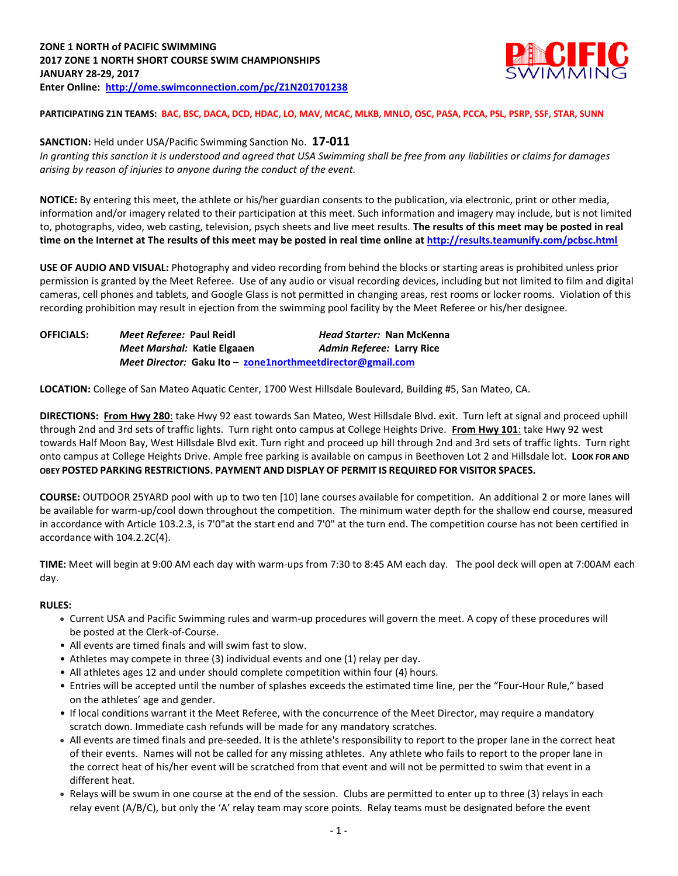

**PARTICIPATING Z1N TEAMS: BAC, BSC, DACA, DCD, HDAC, LO, MAV, MCAC, MLKB, MNLO, OSC, PASA, PCCA, PSL, PSRP, SSF, STAR, SUNN**

### **SANCTION:** Held under USA/Pacific Swimming Sanction No. **17-011**

*In granting this sanction it is understood and agreed that USA Swimming shall be free from any liabilities or claims for damages arising by reason of injuries to anyone during the conduct of the event.*

**NOTICE:** By entering this meet, the athlete or his/her guardian consents to the publication, via electronic, print or other media, information and/or imagery related to their participation at this meet. Such information and imagery may include, but is not limited to, photographs, video, web casting, television, psych sheets and live meet results. **The results of this meet may be posted in real time on the Internet at The results of this meet may be posted in real time online a[t http://results.teamunify.com/pcbsc.html](http://results.teamunify.com/psba.html)**

**USE OF AUDIO AND VISUAL:** Photography and video recording from behind the blocks or starting areas is prohibited unless prior permission is granted by the Meet Referee. Use of any audio or visual recording devices, including but not limited to film and digital cameras, cell phones and tablets, and Google Glass is not permitted in changing areas, rest rooms or locker rooms. Violation of this recording prohibition may result in ejection from the swimming pool facility by the Meet Referee or his/her designee.

| <b>OFFICIALS:</b> | Meet Referee: Paul Reidl                                   | Head Starter: Nan McKenna |  |  |
|-------------------|------------------------------------------------------------|---------------------------|--|--|
|                   | Meet Marshal: Katie Elgaaen                                | Admin Referee: Larry Rice |  |  |
|                   | Meet Director: Gaku Ito - zone1northmeetdirector@gmail.com |                           |  |  |

**LOCATION:** College of San Mateo Aquatic Center, 1700 West Hillsdale Boulevard, Building #5, San Mateo, CA.

**DIRECTIONS: From Hwy 280**: take Hwy 92 east towards San Mateo, West Hillsdale Blvd. exit. Turn left at signal and proceed uphill through 2nd and 3rd sets of traffic lights. Turn right onto campus at College Heights Drive. **From Hwy 101**: take Hwy 92 west towards Half Moon Bay, West Hillsdale Blvd exit. Turn right and proceed up hill through 2nd and 3rd sets of traffic lights. Turn right onto campus at College Heights Drive. Ample free parking is available on campus in Beethoven Lot 2 and Hillsdale lot. **LOOK FOR AND OBEY POSTED PARKING RESTRICTIONS. PAYMENT AND DISPLAY OF PERMIT IS REQUIRED FOR VISITOR SPACES.**

**COURSE:** OUTDOOR 25YARD pool with up to two ten [10] lane courses available for competition. An additional 2 or more lanes will be available for warm-up/cool down throughout the competition. The minimum water depth for the shallow end course, measured in accordance with Article 103.2.3, is 7'0"at the start end and 7'0" at the turn end. The competition course has not been certified in accordance with 104.2.2C(4).

**TIME:** Meet will begin at 9:00 AM each day with warm-ups from 7:30 to 8:45 AM each day. The pool deck will open at 7:00AM each day.

#### **RULES:**

- Current USA and Pacific Swimming rules and warm-up procedures will govern the meet. A copy of these procedures will be posted at the Clerk-of-Course.
- All events are timed finals and will swim fast to slow.
- Athletes may compete in three (3) individual events and one (1) relay per day.
- All athletes ages 12 and under should complete competition within four (4) hours.
- Entries will be accepted until the number of splashes exceeds the estimated time line, per the "Four-Hour Rule," based on the athletes' age and gender.
- If local conditions warrant it the Meet Referee, with the concurrence of the Meet Director, may require a mandatory scratch down. Immediate cash refunds will be made for any mandatory scratches.
- All events are timed finals and pre-seeded. It is the athlete's responsibility to report to the proper lane in the correct heat of their events. Names will not be called for any missing athletes. Any athlete who fails to report to the proper lane in the correct heat of his/her event will be scratched from that event and will not be permitted to swim that event in a different heat.
- Relays will be swum in one course at the end of the session. Clubs are permitted to enter up to three (3) relays in each relay event (A/B/C), but only the 'A' relay team may score points. Relay teams must be designated before the event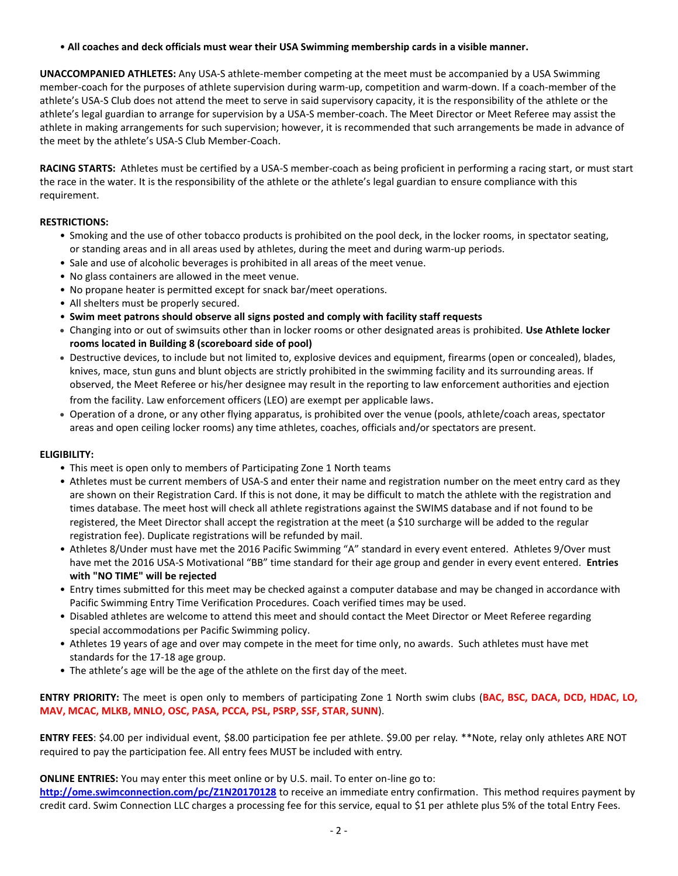• **All coaches and deck officials must wear their USA Swimming membership cards in a visible manner.** 

**UNACCOMPANIED ATHLETES:** Any USA-S athlete-member competing at the meet must be accompanied by a USA Swimming member-coach for the purposes of athlete supervision during warm-up, competition and warm-down. If a coach-member of the athlete's USA-S Club does not attend the meet to serve in said supervisory capacity, it is the responsibility of the athlete or the athlete's legal guardian to arrange for supervision by a USA-S member-coach. The Meet Director or Meet Referee may assist the athlete in making arrangements for such supervision; however, it is recommended that such arrangements be made in advance of the meet by the athlete's USA-S Club Member-Coach.

**RACING STARTS:** Athletes must be certified by a USA-S member-coach as being proficient in performing a racing start, or must start the race in the water. It is the responsibility of the athlete or the athlete's legal guardian to ensure compliance with this requirement.

## **RESTRICTIONS:**

- Smoking and the use of other tobacco products is prohibited on the pool deck, in the locker rooms, in spectator seating, or standing areas and in all areas used by athletes, during the meet and during warm-up periods.
- Sale and use of alcoholic beverages is prohibited in all areas of the meet venue.
- No glass containers are allowed in the meet venue.
- No propane heater is permitted except for snack bar/meet operations.
- All shelters must be properly secured.
- **Swim meet patrons should observe all signs posted and comply with facility staff requests**
- Changing into or out of swimsuits other than in locker rooms or other designated areas is prohibited. **Use Athlete locker rooms located in Building 8 (scoreboard side of pool)**
- Destructive devices, to include but not limited to, explosive devices and equipment, firearms (open or concealed), blades, knives, mace, stun guns and blunt objects are strictly prohibited in the swimming facility and its surrounding areas. If observed, the Meet Referee or his/her designee may result in the reporting to law enforcement authorities and ejection from the facility. Law enforcement officers (LEO) are exempt per applicable laws.
- Operation of a drone, or any other flying apparatus, is prohibited over the venue (pools, athlete/coach areas, spectator areas and open ceiling locker rooms) any time athletes, coaches, officials and/or spectators are present.

## **ELIGIBILITY:**

- This meet is open only to members of Participating Zone 1 North teams
- Athletes must be current members of USA-S and enter their name and registration number on the meet entry card as they are shown on their Registration Card. If this is not done, it may be difficult to match the athlete with the registration and times database. The meet host will check all athlete registrations against the SWIMS database and if not found to be registered, the Meet Director shall accept the registration at the meet (a \$10 surcharge will be added to the regular registration fee). Duplicate registrations will be refunded by mail.
- Athletes 8/Under must have met the 2016 Pacific Swimming "A" standard in every event entered. Athletes 9/Over must have met the 2016 USA-S Motivational "BB" time standard for their age group and gender in every event entered. **Entries with "NO TIME" will be rejected**
- Entry times submitted for this meet may be checked against a computer database and may be changed in accordance with Pacific Swimming Entry Time Verification Procedures. Coach verified times may be used.
- Disabled athletes are welcome to attend this meet and should contact the Meet Director or Meet Referee regarding special accommodations per Pacific Swimming policy.
- Athletes 19 years of age and over may compete in the meet for time only, no awards. Such athletes must have met standards for the 17-18 age group.
- The athlete's age will be the age of the athlete on the first day of the meet.

**ENTRY PRIORITY:** The meet is open only to members of participating Zone 1 North swim clubs (**BAC, BSC, DACA, DCD, HDAC, LO, MAV, MCAC, MLKB, MNLO, OSC, PASA, PCCA, PSL, PSRP, SSF, STAR, SUNN**).

**ENTRY FEES**: \$4.00 per individual event, \$8.00 participation fee per athlete. \$9.00 per relay. \*\*Note, relay only athletes ARE NOT required to pay the participation fee. All entry fees MUST be included with entry.

## **ONLINE ENTRIES:** You may enter this meet online or by U.S. mail. To enter on-line go to:

**<http://ome.swimconnection.com/pc/Z1N20170128>** to receive an immediate entry confirmation. This method requires payment by credit card. Swim Connection LLC charges a processing fee for this service, equal to \$1 per athlete plus 5% of the total Entry Fees.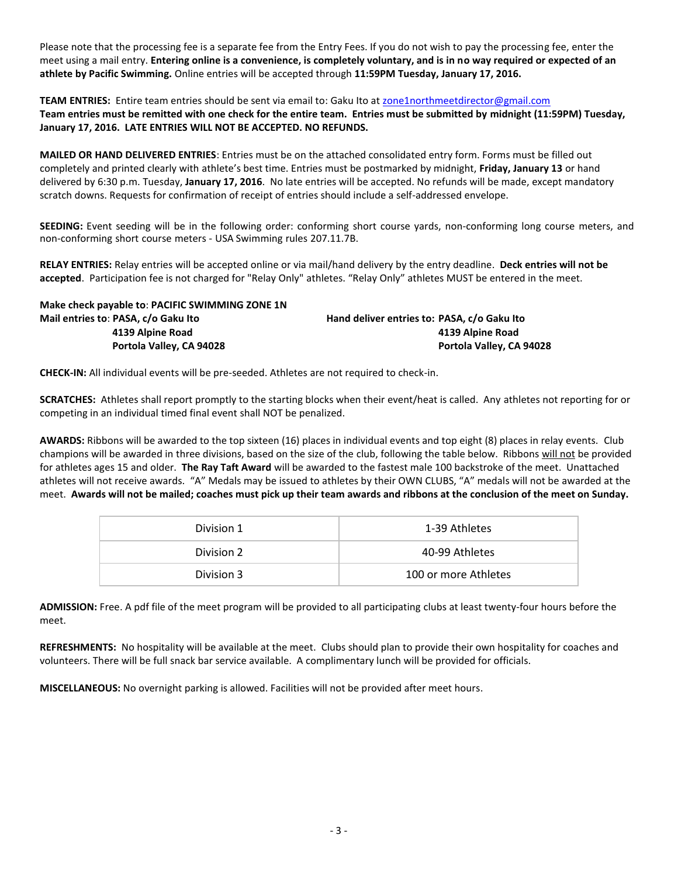Please note that the processing fee is a separate fee from the Entry Fees. If you do not wish to pay the processing fee, enter the meet using a mail entry. **Entering online is a convenience, is completely voluntary, and is in no way required or expected of an athlete by Pacific Swimming.** Online entries will be accepted through **11:59PM Tuesday, January 17, 2016.**

**TEAM ENTRIES:** Entire team entries should be sent via email to: Gaku Ito a[t zone1northmeetdirector@gmail.com](mailto:zone1northmeetdirector@gmail.com) **Team entries must be remitted with one check for the entire team. Entries must be submitted by midnight (11:59PM) Tuesday, January 17, 2016. LATE ENTRIES WILL NOT BE ACCEPTED. NO REFUNDS.**

**MAILED OR HAND DELIVERED ENTRIES**: Entries must be on the attached consolidated entry form. Forms must be filled out completely and printed clearly with athlete's best time. Entries must be postmarked by midnight, **Friday, January 13** or hand delivered by 6:30 p.m. Tuesday, **January 17, 2016**. No late entries will be accepted. No refunds will be made, except mandatory scratch downs. Requests for confirmation of receipt of entries should include a self-addressed envelope.

**SEEDING:** Event seeding will be in the following order: conforming short course yards, non-conforming long course meters, and non-conforming short course meters - USA Swimming rules 207.11.7B.

**RELAY ENTRIES:** Relay entries will be accepted online or via mail/hand delivery by the entry deadline. **Deck entries will not be accepted**. Participation fee is not charged for "Relay Only" athletes. "Relay Only" athletes MUST be entered in the meet.

| Make check payable to: PACIFIC SWIMMING ZONE 1N |                                             |
|-------------------------------------------------|---------------------------------------------|
| Mail entries to: PASA, c/o Gaku Ito             | Hand deliver entries to: PASA, c/o Gaku Ito |
| 4139 Alpine Road                                | 4139 Alpine Road                            |
| Portola Valley, CA 94028                        | Portola Valley, CA 94028                    |

**CHECK-IN:** All individual events will be pre-seeded. Athletes are not required to check-in.

**SCRATCHES:** Athletes shall report promptly to the starting blocks when their event/heat is called. Any athletes not reporting for or competing in an individual timed final event shall NOT be penalized.

**AWARDS:** Ribbons will be awarded to the top sixteen (16) places in individual events and top eight (8) places in relay events. Club champions will be awarded in three divisions, based on the size of the club, following the table below. Ribbons will not be provided for athletes ages 15 and older. **The Ray Taft Award** will be awarded to the fastest male 100 backstroke of the meet. Unattached athletes will not receive awards. "A" Medals may be issued to athletes by their OWN CLUBS, "A" medals will not be awarded at the meet. **Awards will not be mailed; coaches must pick up their team awards and ribbons at the conclusion of the meet on Sunday.** 

| Division 1 | 1-39 Athletes        |  |  |
|------------|----------------------|--|--|
| Division 2 | 40-99 Athletes       |  |  |
| Division 3 | 100 or more Athletes |  |  |

**ADMISSION:** Free. A pdf file of the meet program will be provided to all participating clubs at least twenty-four hours before the meet.

**REFRESHMENTS:** No hospitality will be available at the meet. Clubs should plan to provide their own hospitality for coaches and volunteers. There will be full snack bar service available. A complimentary lunch will be provided for officials.

**MISCELLANEOUS:** No overnight parking is allowed. Facilities will not be provided after meet hours.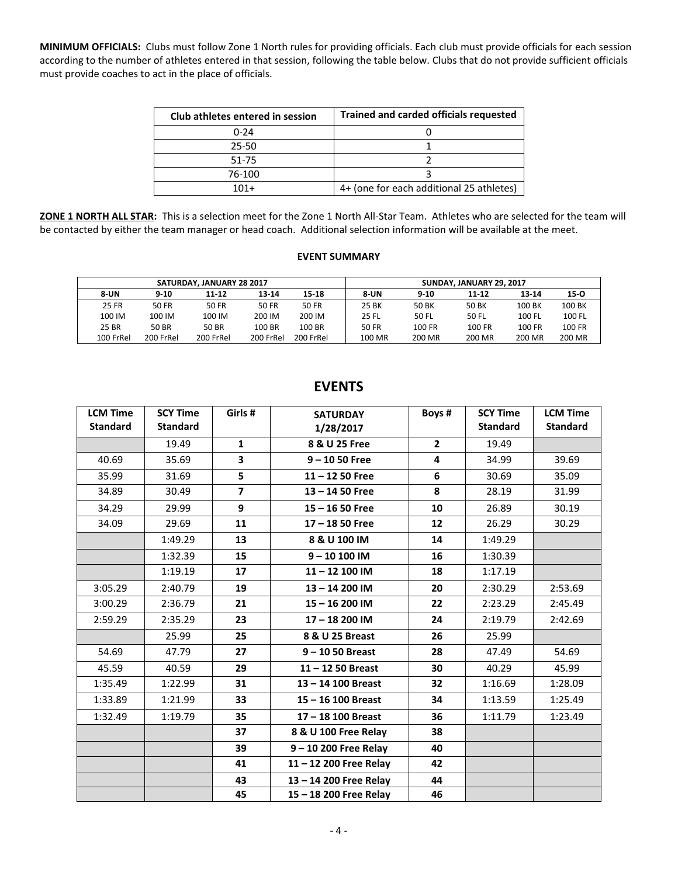**MINIMUM OFFICIALS:** Clubs must follow Zone 1 North rules for providing officials. Each club must provide officials for each session according to the number of athletes entered in that session, following the table below. Clubs that do not provide sufficient officials must provide coaches to act in the place of officials.

| Club athletes entered in session | <b>Trained and carded officials requested</b> |
|----------------------------------|-----------------------------------------------|
| $0 - 24$                         |                                               |
| 25-50                            |                                               |
| 51-75                            |                                               |
| 76-100                           |                                               |
| $101+$                           | 4+ (one for each additional 25 athletes)      |

**ZONE 1 NORTH ALL STAR:** This is a selection meet for the Zone 1 North All-Star Team. Athletes who are selected for the team will be contacted by either the team manager or head coach. Additional selection information will be available at the meet.

#### **EVENT SUMMARY**

|              | SATURDAY, JANUARY 28 2017 | SUNDAY, JANUARY 29, 2017 |           |           |             |          |        |        |          |
|--------------|---------------------------|--------------------------|-----------|-----------|-------------|----------|--------|--------|----------|
| <b>8-UN</b>  | $9 - 10$                  | 11-12                    | 13-14     | 15-18     | <b>8-UN</b> | $9 - 10$ | 11-12  | 13-14  | $15 - 0$ |
| <b>25 FR</b> | 50 FR                     | 50 FR                    | 50 FR     | 50 FR     | 25 BK       | 50 BK    | 50 BK  | 100 BK | 100 BK   |
| 100 IM       | 100 IM                    | 100 IM                   | 200 IM    | 200 IM    | 25 FL       | 50 FL    | 50 FL  | 100 FL | 100 FL   |
| 25 BR        | 50 BR                     | 50 BR                    | 100 BR    | 100 BR    | 50 FR       | 100 FR   | 100 FR | 100 FR | 100 FR   |
| 100 FrRel    | 200 FrRel                 | 200 FrRel                | 200 FrRel | 200 FrRel | 100 MR      | 200 MR   | 200 MR | 200 MR | 200 MR   |

| <b>LCM Time</b><br><b>Standard</b> | <b>SCY Time</b><br><b>Standard</b> | Girls#         | <b>SATURDAY</b><br>1/28/2017 | Boys#          | <b>SCY Time</b><br><b>Standard</b> | <b>LCM Time</b><br><b>Standard</b> |
|------------------------------------|------------------------------------|----------------|------------------------------|----------------|------------------------------------|------------------------------------|
|                                    | 19.49                              | $\mathbf{1}$   | 8 & U 25 Free                | $\overline{2}$ | 19.49                              |                                    |
| 40.69                              | 35.69                              | 3              | $9 - 1050$ Free              | 4              | 34.99                              | 39.69                              |
| 35.99                              | 31.69                              | 5              | $11 - 1250$ Free             | 6              | 30.69                              | 35.09                              |
| 34.89                              | 30.49                              | $\overline{7}$ | $13 - 1450$ Free             | 8              | 28.19                              | 31.99                              |
| 34.29                              | 29.99                              | 9              | $15 - 1650$ Free             | 10             | 26.89                              | 30.19                              |
| 34.09                              | 29.69                              | 11             | $17 - 1850$ Free             | 12             | 26.29                              | 30.29                              |
|                                    | 1:49.29                            | 13             | 8 & U 100 IM                 | 14             | 1:49.29                            |                                    |
|                                    | 1:32.39                            | 15             | $9 - 10100$ IM               | 16             | 1:30.39                            |                                    |
|                                    | 1:19.19                            | 17             | 11-12 100 IM                 | 18             | 1:17.19                            |                                    |
| 3:05.29                            | 2:40.79                            | 19             | 13-14 200 IM                 | 20             | 2:30.29                            | 2:53.69                            |
| 3:00.29                            | 2:36.79                            | 21             | 15-16 200 IM                 | 22             | 2:23.29                            | 2:45.49                            |
| 2:59.29                            | 2:35.29                            | 23             | 17-18 200 IM                 | 24             | 2:19.79                            | 2:42.69                            |
|                                    | 25.99                              | 25             | 8 & U 25 Breast              | 26             | 25.99                              |                                    |
| 54.69                              | 47.79                              | 27             | $9 - 1050$ Breast            | 28             | 47.49                              | 54.69                              |
| 45.59                              | 40.59                              | 29             | $11 - 1250$ Breast           | 30             | 40.29                              | 45.99                              |
| 1:35.49                            | 1:22.99                            | 31             | 13-14 100 Breast             | 32             | 1:16.69                            | 1:28.09                            |
| 1:33.89                            | 1:21.99                            | 33             | 15 - 16 100 Breast           | 34             | 1:13.59                            | 1:25.49                            |
| 1:32.49                            | 1:19.79                            | 35             | $17 - 18$ 100 Breast         | 36             | 1:11.79                            | 1:23.49                            |
|                                    |                                    | 37             | 8 & U 100 Free Relay         | 38             |                                    |                                    |
|                                    |                                    | 39             | 9-10 200 Free Relay          | 40             |                                    |                                    |
|                                    |                                    | 41             | 11-12 200 Free Relay         | 42             |                                    |                                    |
|                                    |                                    | 43             | 13-14 200 Free Relay         | 44             |                                    |                                    |
|                                    |                                    | 45             | 15 - 18 200 Free Relay       | 46             |                                    |                                    |

# **EVENTS**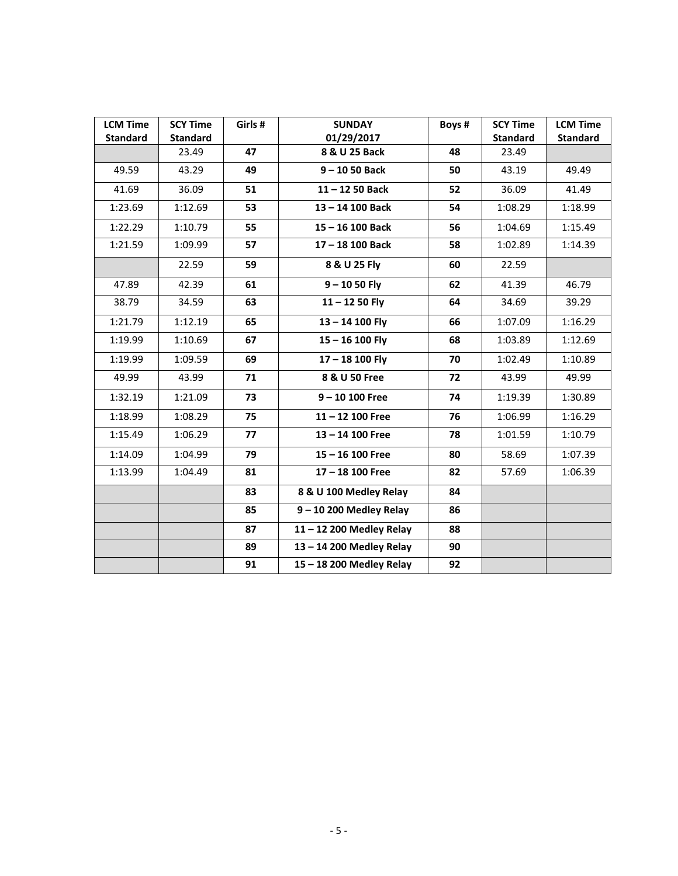| <b>LCM Time</b><br><b>Standard</b> | <b>SCY Time</b><br><b>Standard</b> | Girls # | <b>SUNDAY</b><br>01/29/2017 | Boys # | <b>SCY Time</b><br><b>Standard</b> | <b>LCM Time</b><br><b>Standard</b> |
|------------------------------------|------------------------------------|---------|-----------------------------|--------|------------------------------------|------------------------------------|
|                                    | 23.49                              | 47      | 8 & U 25 Back               | 48     | 23.49                              |                                    |
| 49.59                              | 43.29                              | 49      | $9 - 1050$ Back             | 50     | 43.19                              | 49.49                              |
| 41.69                              | 36.09                              | 51      | $11 - 1250$ Back            | 52     | 36.09                              | 41.49                              |
| 1:23.69                            | 1:12.69                            | 53      | 13-14 100 Back              | 54     | 1:08.29                            | 1:18.99                            |
| 1:22.29                            | 1:10.79                            | 55      | 15-16 100 Back              | 56     | 1:04.69                            | 1:15.49                            |
| 1:21.59                            | 1:09.99                            | 57      | 17-18 100 Back              | 58     | 1:02.89                            | 1:14.39                            |
|                                    | 22.59                              | 59      | 8 & U 25 Fly                | 60     | 22.59                              |                                    |
| 47.89                              | 42.39                              | 61      | $9 - 1050$ Fly              | 62     | 41.39                              | 46.79                              |
| 38.79                              | 34.59                              | 63      | $11 - 1250$ Fly             | 64     | 34.69                              | 39.29                              |
| 1:21.79                            | 1:12.19                            | 65      | $13 - 14$ 100 Fly           | 66     | 1:07.09                            | 1:16.29                            |
| 1:19.99                            | 1:10.69                            | 67      | $15 - 16$ 100 Fly           | 68     | 1:03.89                            | 1:12.69                            |
| 1:19.99                            | 1:09.59                            | 69      | 17-18 100 Fly               | 70     | 1:02.49                            | 1:10.89                            |
| 49.99                              | 43.99                              | 71      | 8 & U 50 Free               | 72     | 43.99                              | 49.99                              |
| 1:32.19                            | 1:21.09                            | 73      | $9 - 10 100$ Free           | 74     | 1:19.39                            | 1:30.89                            |
| 1:18.99                            | 1:08.29                            | 75      | $11 - 12$ 100 Free          | 76     | 1:06.99                            | 1:16.29                            |
| 1:15.49                            | 1:06.29                            | 77      | 13-14 100 Free              | 78     | 1:01.59                            | 1:10.79                            |
| 1:14.09                            | 1:04.99                            | 79      | $15 - 16$ 100 Free          | 80     | 58.69                              | 1:07.39                            |
| 1:13.99                            | 1:04.49                            | 81      | 17-18 100 Free              | 82     | 57.69                              | 1:06.39                            |
|                                    |                                    | 83      | 8 & U 100 Medley Relay      | 84     |                                    |                                    |
|                                    |                                    | 85      | $9 - 10$ 200 Medley Relay   | 86     |                                    |                                    |
|                                    |                                    | 87      | 11-12 200 Medley Relay      | 88     |                                    |                                    |
|                                    |                                    | 89      | 13-14 200 Medley Relay      | 90     |                                    |                                    |
|                                    |                                    | 91      | 15-18 200 Medley Relay      | 92     |                                    |                                    |